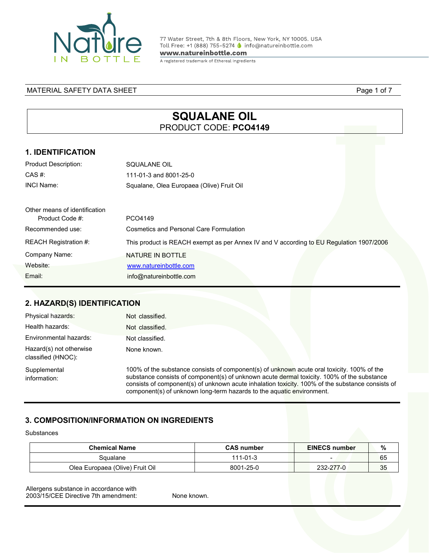

77 Water Street, 7th & 8th Floors, New York, NY 10005. USA Toll Free: +1 (888) 755-5274 ● info@natureinbottle.com

www.natureinbottle.com

A registered trademark of Ethereal Ingredients

#### MATERIAL SAFETY DATA SHEET **Page 1 of 7**

# **SQUALANE OIL**  PRODUCT CODE: **PCO4149**

### **1. IDENTIFICATION**

| <b>Product Description:</b>                      | SQUALANE OIL                                                                            |
|--------------------------------------------------|-----------------------------------------------------------------------------------------|
| $CAS \#$ :                                       | 111-01-3 and 8001-25-0                                                                  |
| <b>INCI Name:</b>                                | Squalane, Olea Europaea (Olive) Fruit Oil                                               |
| Other means of identification<br>Product Code #: | PCO4149                                                                                 |
| Recommended use:                                 | Cosmetics and Personal Care Formulation                                                 |
| <b>REACH Registration #:</b>                     | This product is REACH exempt as per Annex IV and V according to EU Regulation 1907/2006 |
| Company Name:                                    | NATURE IN BOTTLE                                                                        |
| Website:                                         | www.natureinbottle.com                                                                  |
| Email:                                           | info@natureinbottle.com                                                                 |

### **2. HAZARD(S) IDENTIFICATION**

| Physical hazards:                             | Not classified.                                                                                                                                                                                                                                                                                                                                                       |
|-----------------------------------------------|-----------------------------------------------------------------------------------------------------------------------------------------------------------------------------------------------------------------------------------------------------------------------------------------------------------------------------------------------------------------------|
| Health hazards:                               | Not classified.                                                                                                                                                                                                                                                                                                                                                       |
| Environmental hazards:                        | Not classified.                                                                                                                                                                                                                                                                                                                                                       |
| Hazard(s) not otherwise<br>classified (HNOC): | None known.                                                                                                                                                                                                                                                                                                                                                           |
| Supplemental<br>information:                  | 100% of the substance consists of component(s) of unknown acute oral toxicity. 100% of the<br>substance consists of component(s) of unknown acute dermal toxicity. 100% of the substance<br>consists of component(s) of unknown acute inhalation toxicity. 100% of the substance consists of<br>component(s) of unknown long-term hazards to the aquatic environment. |

## **3. COMPOSITION/INFORMATION ON INGREDIENTS**

#### Substances

| <b>Chemical Name</b>            | <b>CAS</b> number | <b>EINECS number</b> | 7٥ |
|---------------------------------|-------------------|----------------------|----|
| Squalane                        | $111 - 01 - 3$    |                      | 65 |
| Olea Europaea (Olive) Fruit Oil | 8001-25-0         | 232-277-0            |    |

Allergens substance in accordance with 2003/15/CEE Directive 7th amendment: None known.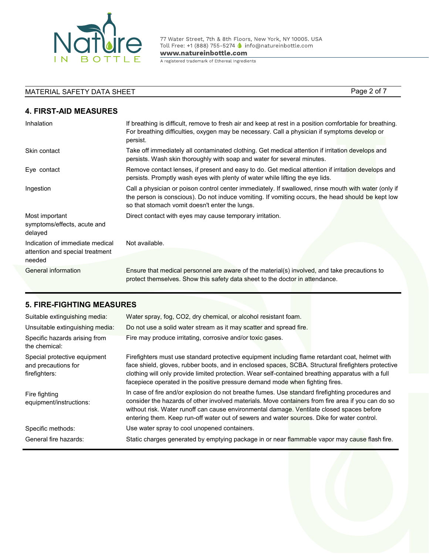

77 Water Street, 7th & 8th Floors, New York, NY 10005. USA<br>Toll Free: +1 (888) 755-5274 \ info@natureinbottle.com

www.natureinbottle.com

A registered trademark of Ethereal Ingredients

# MATERIAL SAFETY DATA SHEET PAGE 2 of 7

# **4. FIRST-AID MEASURES**

| Inhalation                                                                   | If breathing is difficult, remove to fresh air and keep at rest in a position comfortable for breathing.<br>For breathing difficulties, oxygen may be necessary. Call a physician if symptoms develop or<br>persist.                                        |
|------------------------------------------------------------------------------|-------------------------------------------------------------------------------------------------------------------------------------------------------------------------------------------------------------------------------------------------------------|
| Skin contact                                                                 | Take off immediately all contaminated clothing. Get medical attention if irritation develops and<br>persists. Wash skin thoroughly with soap and water for several minutes.                                                                                 |
| Eye contact                                                                  | Remove contact lenses, if present and easy to do. Get medical attention if irritation develops and<br>persists. Promptly wash eyes with plenty of water while lifting the eye lids.                                                                         |
| Ingestion                                                                    | Call a physician or poison control center immediately. If swallowed, rinse mouth with water (only if<br>the person is conscious). Do not induce vomiting. If vomiting occurs, the head should be kept low<br>so that stomach vomit doesn't enter the lungs. |
| Most important<br>symptoms/effects, acute and<br>delayed                     | Direct contact with eyes may cause temporary irritation.                                                                                                                                                                                                    |
| Indication of immediate medical<br>attention and special treatment<br>needed | Not available.                                                                                                                                                                                                                                              |
| General information                                                          | Ensure that medical personnel are aware of the material(s) involved, and take precautions to<br>protect themselves. Show this safety data sheet to the doctor in attendance.                                                                                |

### **5. FIRE-FIGHTING MEASURES**

| Suitable extinguishing media:                                        | Water spray, fog, CO2, dry chemical, or alcohol resistant foam.                                                                                                                                                                                                                                                                                                                                 |
|----------------------------------------------------------------------|-------------------------------------------------------------------------------------------------------------------------------------------------------------------------------------------------------------------------------------------------------------------------------------------------------------------------------------------------------------------------------------------------|
| Unsuitable extinguishing media:                                      | Do not use a solid water stream as it may scatter and spread fire.                                                                                                                                                                                                                                                                                                                              |
| Specific hazards arising from<br>the chemical:                       | Fire may produce irritating, corrosive and/or toxic gases.                                                                                                                                                                                                                                                                                                                                      |
| Special protective equipment<br>and precautions for<br>firefighters: | Firefighters must use standard protective equipment including flame retardant coat, helmet with<br>face shield, gloves, rubber boots, and in enclosed spaces, SCBA. Structural firefighters protective<br>clothing will only provide limited protection. Wear self-contained breathing apparatus with a full<br>facepiece operated in the positive pressure demand mode when fighting fires.    |
| Fire fighting<br>equipment/instructions:                             | In case of fire and/or explosion do not breathe fumes. Use standard firefighting procedures and<br>consider the hazards of other involved materials. Move containers from fire area if you can do so<br>without risk. Water runoff can cause environmental damage. Ventilate closed spaces before<br>entering them. Keep run-off water out of sewers and water sources. Dike for water control. |
| Specific methods:                                                    | Use water spray to cool unopened containers.                                                                                                                                                                                                                                                                                                                                                    |
| General fire hazards:                                                | Static charges generated by emptying package in or near flammable vapor may cause flash fire.                                                                                                                                                                                                                                                                                                   |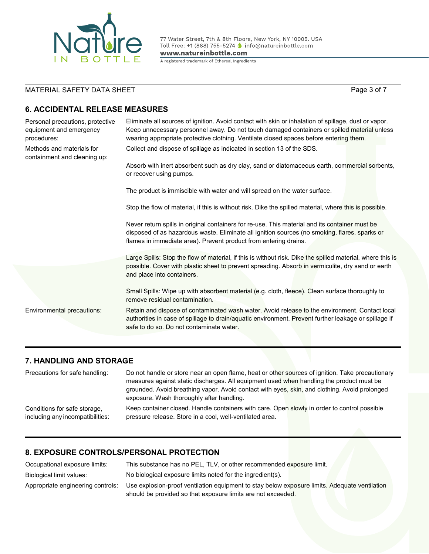

77 Water Street, 7th & 8th Floors, New York, NY 10005. USA<br>Toll Free: +1 (888) 755-5274 (a info@natureinbottle.com

www.natureinbottle.com

A registered trademark of Ethereal Ingredients

# MATERIAL SAFETY DATA SHEET PAGE 2014 Page 3 of 7

### **6. ACCIDENTAL RELEASE MEASURES**

| Personal precautions, protective<br>equipment and emergency<br>procedures: | Eliminate all sources of ignition. Avoid contact with skin or inhalation of spillage, dust or vapor.<br>Keep unnecessary personnel away. Do not touch damaged containers or spilled material unless<br>wearing appropriate protective clothing. Ventilate closed spaces before entering them. |
|----------------------------------------------------------------------------|-----------------------------------------------------------------------------------------------------------------------------------------------------------------------------------------------------------------------------------------------------------------------------------------------|
| Methods and materials for<br>containment and cleaning up:                  | Collect and dispose of spillage as indicated in section 13 of the SDS.                                                                                                                                                                                                                        |
|                                                                            | Absorb with inert absorbent such as dry clay, sand or diatomaceous earth, commercial sorbents,<br>or recover using pumps.                                                                                                                                                                     |
|                                                                            | The product is immiscible with water and will spread on the water surface.                                                                                                                                                                                                                    |
|                                                                            | Stop the flow of material, if this is without risk. Dike the spilled material, where this is possible.                                                                                                                                                                                        |
|                                                                            | Never return spills in original containers for re-use. This material and its container must be<br>disposed of as hazardous waste. Eliminate all ignition sources (no smoking, flares, sparks or<br>flames in immediate area). Prevent product from entering drains.                           |
|                                                                            | Large Spills: Stop the flow of material, if this is without risk. Dike the spilled material, where this is<br>possible. Cover with plastic sheet to prevent spreading. Absorb in vermiculite, dry sand or earth<br>and place into containers.                                                 |
|                                                                            | Small Spills: Wipe up with absorbent material (e.g. cloth, fleece). Clean surface thoroughly to<br>remove residual contamination.                                                                                                                                                             |
| Environmental precautions:                                                 | Retain and dispose of contaminated wash water. Avoid release to the environment. Contact local<br>authorities in case of spillage to drain/aquatic environment. Prevent further leakage or spillage if<br>safe to do so. Do not contaminate water.                                            |
|                                                                            |                                                                                                                                                                                                                                                                                               |

#### **7. HANDLING AND STORAGE**

| Precautions for safe handling:   | Do not handle or store near an open flame, heat or other sources of ignition. Take precautionary<br>measures against static discharges. All equipment used when handling the product must be<br>grounded. Avoid breathing vapor. Avoid contact with eyes, skin, and clothing. Avoid prolonged<br>exposure. Wash thoroughly after handling. |
|----------------------------------|--------------------------------------------------------------------------------------------------------------------------------------------------------------------------------------------------------------------------------------------------------------------------------------------------------------------------------------------|
| Conditions for safe storage,     | Keep container closed. Handle containers with care. Open slowly in order to control possible                                                                                                                                                                                                                                               |
| including any incompatibilities: | pressure release. Store in a cool, well-ventilated area.                                                                                                                                                                                                                                                                                   |

#### **8. EXPOSURE CONTROLS/PERSONAL PROTECTION**

| Occupational exposure limits:     | This substance has no PEL, TLV, or other recommended exposure limit.                          |
|-----------------------------------|-----------------------------------------------------------------------------------------------|
| Biological limit values:          | No biological exposure limits noted for the ingredient(s).                                    |
| Appropriate engineering controls: | Use explosion-proof ventilation equipment to stay below exposure limits. Adequate ventilation |
|                                   | should be provided so that exposure limits are not exceeded.                                  |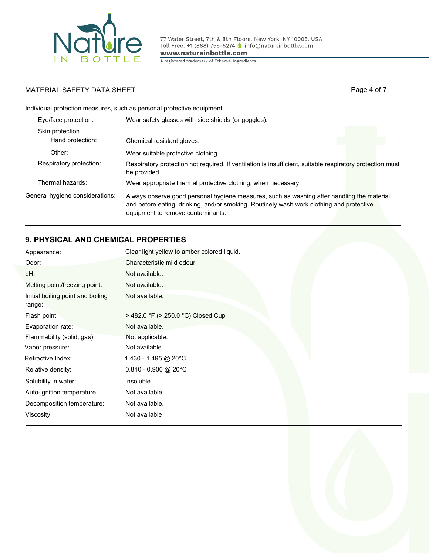

77 Water Street, 7th & 8th Floors, New York, NY 10005. USA<br>Toll Free: +1 (888) 755-5274 © info@natureinbottle.com

www.natureinbottle.com

A registered trademark of Ethereal Ingredients

### MATERIAL SAFETY DATA SHEET **Page 4 of 7** Page 4 of 7

Individual protection measures, such as personal protective equipment

| Eye/face protection:                | Wear safety glasses with side shields (or goggles).                                                                                                                                                                         |
|-------------------------------------|-----------------------------------------------------------------------------------------------------------------------------------------------------------------------------------------------------------------------------|
| Skin protection<br>Hand protection: | Chemical resistant gloves.                                                                                                                                                                                                  |
| Other:                              | Wear suitable protective clothing.                                                                                                                                                                                          |
| Respiratory protection:             | Respiratory protection not required. If ventilation is insufficient, suitable respiratory protection must<br>be provided.                                                                                                   |
| Thermal hazards:                    | Wear appropriate thermal protective clothing, when necessary.                                                                                                                                                               |
| General hygiene considerations:     | Always observe good personal hygiene measures, such as washing after handling the material<br>and before eating, drinking, and/or smoking. Routinely wash work clothing and protective<br>equipment to remove contaminants. |

## **9. PHYSICAL AND CHEMICAL PROPERTIES**

| Appearance:                                 | Clear light yellow to amber colored liquid. |
|---------------------------------------------|---------------------------------------------|
| Odor:                                       | Characteristic mild odour.                  |
| pH:                                         | Not available.                              |
| Melting point/freezing point:               | Not available.                              |
| Initial boiling point and boiling<br>range: | Not available.                              |
| Flash point:                                | > 482.0 °F (> 250.0 °C) Closed Cup          |
| Evaporation rate:                           | Not available.                              |
| Flammability (solid, gas):                  | Not applicable.                             |
| Vapor pressure:                             | Not available.                              |
| Refractive Index:                           | 1.430 - 1.495 @ 20°C                        |
| Relative density:                           | $0.810 - 0.900$ @ 20°C                      |
| Solubility in water:                        | Insoluble.                                  |
| Auto-ignition temperature:                  | Not available.                              |
| Decomposition temperature:                  | Not available.                              |
| Viscosity:                                  | Not available                               |

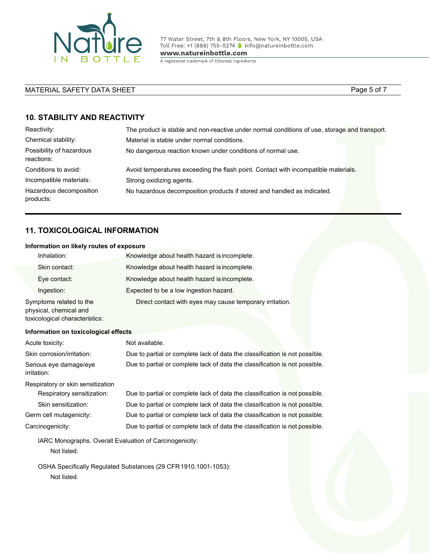

77 Water Street, 7th & 8th Floors, New York, NY 10005. USA Toll Free: +1 (888) 755-5274 ● info@natureinbottle.com

www.natureinbottle.com

A registered trademark of Ethereal Ingredients

### MATERIAL SAFETY DATA SHEET **Page 5 of 7** AMATERIAL SAFETY DATA SHEET

### **10. STABILITY AND REACTIVITY**

| Reactivity:                            | The product is stable and non-reactive under normal conditions of use, storage and transport. |
|----------------------------------------|-----------------------------------------------------------------------------------------------|
| Chemical stability:                    | Material is stable under normal conditions.                                                   |
| Possibility of hazardous<br>reactions: | No dangerous reaction known under conditions of normal use.                                   |
| Conditions to avoid:                   | Avoid temperatures exceeding the flash point. Contact with incompatible materials.            |
| Incompatible materials:                | Strong oxidizing agents.                                                                      |
| Hazardous decomposition<br>products:   | No hazardous decomposition products if stored and handled as indicated.                       |

### **11. TOXICOLOGICAL INFORMATION**

#### **Information on likely routes of exposure**

| Inhalation:                                      | Knowledge about health hazard is incomplete.             |
|--------------------------------------------------|----------------------------------------------------------|
| Skin contact:                                    | Knowledge about health hazard is incomplete.             |
| Eye contact:                                     | Knowledge about health hazard is incomplete.             |
| Ingestion:                                       | Expected to be a low ingestion hazard.                   |
| Symptoms related to the<br>physical abomical and | Direct contact with eyes may cause temporary irritation. |

physical, chemical and toxicological characteristics:

#### **Information on toxicological effects**

| Acute toxicity:                                         | Not available.                                                              |
|---------------------------------------------------------|-----------------------------------------------------------------------------|
| Skin corrosion/irritation:                              | Due to partial or complete lack of data the classification is not possible. |
| Serious eye damage/eye<br>irritation:                   | Due to partial or complete lack of data the classification is not possible. |
| Respiratory or skin sensitization                       |                                                                             |
| Respiratory sensitization:                              | Due to partial or complete lack of data the classification is not possible. |
| Skin sensitization:                                     | Due to partial or complete lack of data the classification is not possible. |
| Germ cell mutagenicity:                                 | Due to partial or complete lack of data the classification is not possible. |
| Carcinogenicity:                                        | Due to partial or complete lack of data the classification is not possible. |
| IARC Monographs. Overall Evaluation of Carcinogenicity: |                                                                             |
| Not listed.                                             |                                                                             |
|                                                         | OSHA Specifically Regulated Substances (29 CFR 1910.1001-1053):             |

Not listed.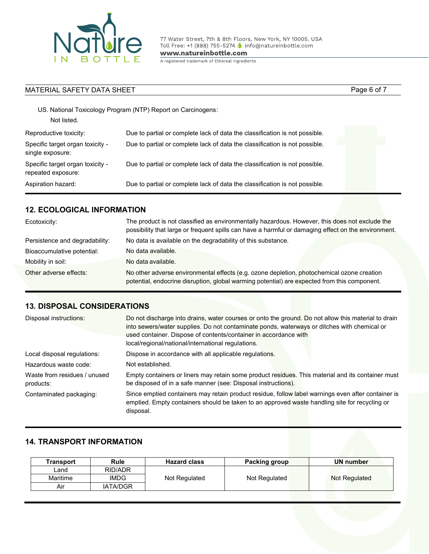

77 Water Street, 7th & 8th Floors, New York, NY 10005. USA<br>Toll Free: +1 (888) 755-5274 © info@natureinbottle.com www.natureinbottle.com

A registered trademark of Ethereal Ingredients

| MATERIAL SAFETY DATA SHEET                             |                                                                             | Page 6 of 7 |
|--------------------------------------------------------|-----------------------------------------------------------------------------|-------------|
| Not listed.                                            | US. National Toxicology Program (NTP) Report on Carcinogens:                |             |
| Reproductive toxicity:                                 | Due to partial or complete lack of data the classification is not possible. |             |
| Specific target organ toxicity -<br>single exposure:   | Due to partial or complete lack of data the classification is not possible. |             |
| Specific target organ toxicity -<br>repeated exposure: | Due to partial or complete lack of data the classification is not possible. |             |
| Aspiration hazard:                                     | Due to partial or complete lack of data the classification is not possible. |             |

### **12. ECOLOGICAL INFORMATION**

| Ecotoxicity:                   | The product is not classified as environmentally hazardous. However, this does not exclude the<br>possibility that large or frequent spills can have a harmful or damaging effect on the environment. |  |
|--------------------------------|-------------------------------------------------------------------------------------------------------------------------------------------------------------------------------------------------------|--|
| Persistence and degradability: | No data is available on the degradability of this substance.                                                                                                                                          |  |
| Bioaccumulative potential:     | No data available.                                                                                                                                                                                    |  |
| Mobility in soil:              | No data available.                                                                                                                                                                                    |  |
| Other adverse effects:         | No other adverse environmental effects (e.g. ozone depletion, photochemical ozone creation<br>potential, endocrine disruption, global warming potential) are expected from this component.            |  |

### **13. DISPOSAL CONSIDERATIONS**

| Disposal instructions:                    | Do not discharge into drains, water courses or onto the ground. Do not allow this material to drain<br>into sewers/water supplies. Do not contaminate ponds, waterways or ditches with chemical or<br>used container. Dispose of contents/container in accordance with<br>local/regional/national/international regulations. |
|-------------------------------------------|------------------------------------------------------------------------------------------------------------------------------------------------------------------------------------------------------------------------------------------------------------------------------------------------------------------------------|
| Local disposal regulations:               | Dispose in accordance with all applicable regulations.                                                                                                                                                                                                                                                                       |
| Hazardous waste code:                     | Not established.                                                                                                                                                                                                                                                                                                             |
| Waste from residues / unused<br>products: | Empty containers or liners may retain some product residues. This material and its container must<br>be disposed of in a safe manner (see: Disposal instructions).                                                                                                                                                           |
| Contaminated packaging:                   | Since emptied containers may retain product residue, follow label warnings even after container is<br>emptied. Empty containers should be taken to an approved waste handling site for recycling or<br>disposal.                                                                                                             |

# **14. TRANSPORT INFORMATION**

| Transport | Rule            | <b>Hazard class</b> | Packing group | <b>UN</b> number |
|-----------|-----------------|---------------------|---------------|------------------|
| Land      | RID/ADR         |                     |               |                  |
| Maritime  | <b>IMDG</b>     | Not Regulated       | Not Regulated | Not Regulated    |
| Air       | <b>IATA/DGR</b> |                     |               |                  |